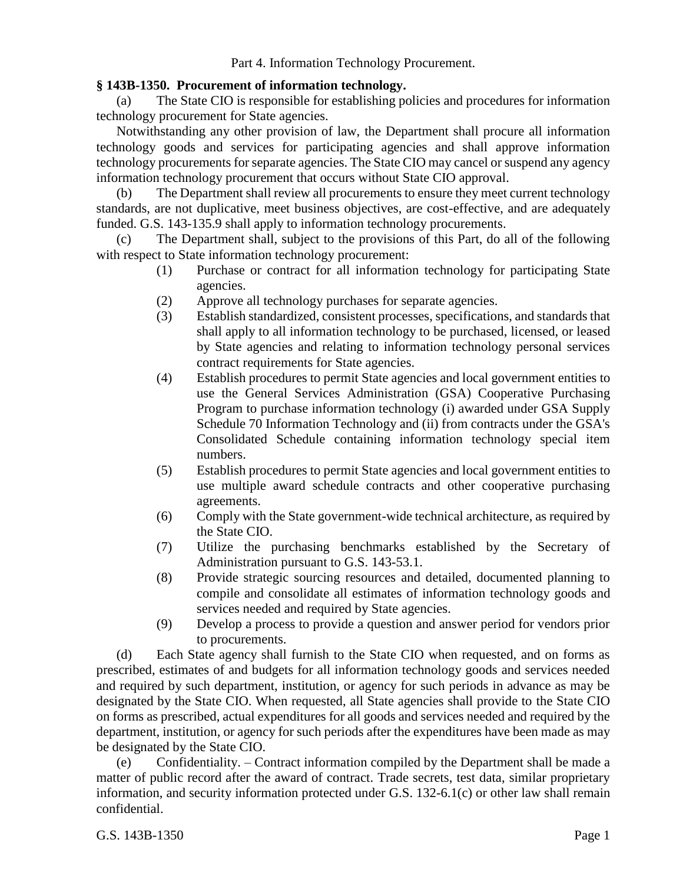## **§ 143B-1350. Procurement of information technology.**

(a) The State CIO is responsible for establishing policies and procedures for information technology procurement for State agencies.

Notwithstanding any other provision of law, the Department shall procure all information technology goods and services for participating agencies and shall approve information technology procurements for separate agencies. The State CIO may cancel or suspend any agency information technology procurement that occurs without State CIO approval.

(b) The Department shall review all procurements to ensure they meet current technology standards, are not duplicative, meet business objectives, are cost-effective, and are adequately funded. G.S. 143-135.9 shall apply to information technology procurements.

(c) The Department shall, subject to the provisions of this Part, do all of the following with respect to State information technology procurement:

- (1) Purchase or contract for all information technology for participating State agencies.
- (2) Approve all technology purchases for separate agencies.
- (3) Establish standardized, consistent processes, specifications, and standards that shall apply to all information technology to be purchased, licensed, or leased by State agencies and relating to information technology personal services contract requirements for State agencies.
- (4) Establish procedures to permit State agencies and local government entities to use the General Services Administration (GSA) Cooperative Purchasing Program to purchase information technology (i) awarded under GSA Supply Schedule 70 Information Technology and (ii) from contracts under the GSA's Consolidated Schedule containing information technology special item numbers.
- (5) Establish procedures to permit State agencies and local government entities to use multiple award schedule contracts and other cooperative purchasing agreements.
- (6) Comply with the State government-wide technical architecture, as required by the State CIO.
- (7) Utilize the purchasing benchmarks established by the Secretary of Administration pursuant to G.S. 143-53.1.
- (8) Provide strategic sourcing resources and detailed, documented planning to compile and consolidate all estimates of information technology goods and services needed and required by State agencies.
- (9) Develop a process to provide a question and answer period for vendors prior to procurements.

(d) Each State agency shall furnish to the State CIO when requested, and on forms as prescribed, estimates of and budgets for all information technology goods and services needed and required by such department, institution, or agency for such periods in advance as may be designated by the State CIO. When requested, all State agencies shall provide to the State CIO on forms as prescribed, actual expenditures for all goods and services needed and required by the department, institution, or agency for such periods after the expenditures have been made as may be designated by the State CIO.

(e) Confidentiality. – Contract information compiled by the Department shall be made a matter of public record after the award of contract. Trade secrets, test data, similar proprietary information, and security information protected under G.S. 132-6.1(c) or other law shall remain confidential.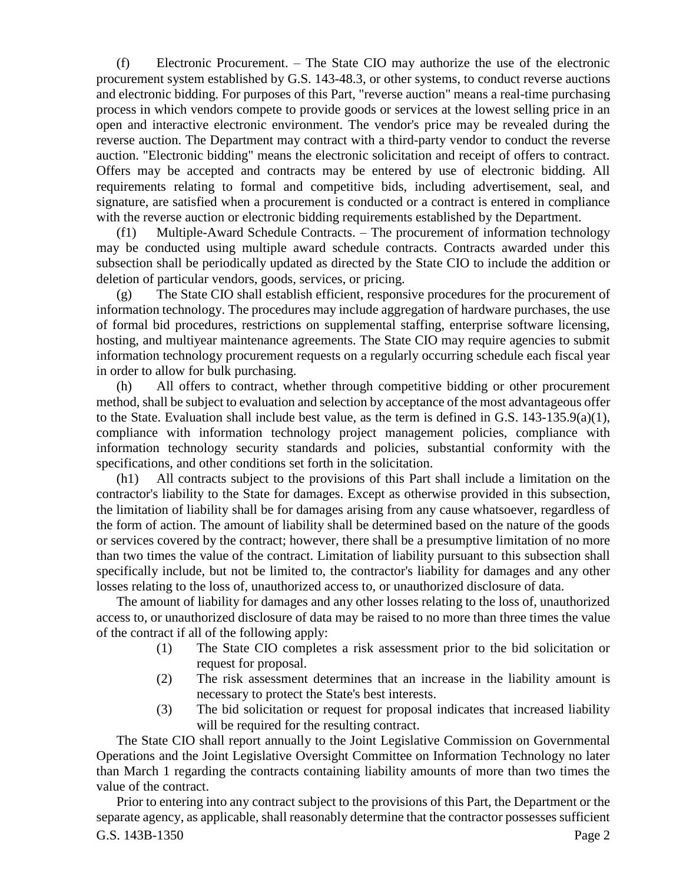(f) Electronic Procurement. – The State CIO may authorize the use of the electronic procurement system established by G.S. 143-48.3, or other systems, to conduct reverse auctions and electronic bidding. For purposes of this Part, "reverse auction" means a real-time purchasing process in which vendors compete to provide goods or services at the lowest selling price in an open and interactive electronic environment. The vendor's price may be revealed during the reverse auction. The Department may contract with a third-party vendor to conduct the reverse auction. "Electronic bidding" means the electronic solicitation and receipt of offers to contract. Offers may be accepted and contracts may be entered by use of electronic bidding. All requirements relating to formal and competitive bids, including advertisement, seal, and signature, are satisfied when a procurement is conducted or a contract is entered in compliance with the reverse auction or electronic bidding requirements established by the Department.

(f1) Multiple-Award Schedule Contracts. – The procurement of information technology may be conducted using multiple award schedule contracts. Contracts awarded under this subsection shall be periodically updated as directed by the State CIO to include the addition or deletion of particular vendors, goods, services, or pricing.

(g) The State CIO shall establish efficient, responsive procedures for the procurement of information technology. The procedures may include aggregation of hardware purchases, the use of formal bid procedures, restrictions on supplemental staffing, enterprise software licensing, hosting, and multiyear maintenance agreements. The State CIO may require agencies to submit information technology procurement requests on a regularly occurring schedule each fiscal year in order to allow for bulk purchasing.

(h) All offers to contract, whether through competitive bidding or other procurement method, shall be subject to evaluation and selection by acceptance of the most advantageous offer to the State. Evaluation shall include best value, as the term is defined in G.S. 143-135.9(a)(1), compliance with information technology project management policies, compliance with information technology security standards and policies, substantial conformity with the specifications, and other conditions set forth in the solicitation.

(h1) All contracts subject to the provisions of this Part shall include a limitation on the contractor's liability to the State for damages. Except as otherwise provided in this subsection, the limitation of liability shall be for damages arising from any cause whatsoever, regardless of the form of action. The amount of liability shall be determined based on the nature of the goods or services covered by the contract; however, there shall be a presumptive limitation of no more than two times the value of the contract. Limitation of liability pursuant to this subsection shall specifically include, but not be limited to, the contractor's liability for damages and any other losses relating to the loss of, unauthorized access to, or unauthorized disclosure of data.

The amount of liability for damages and any other losses relating to the loss of, unauthorized access to, or unauthorized disclosure of data may be raised to no more than three times the value of the contract if all of the following apply:

- (1) The State CIO completes a risk assessment prior to the bid solicitation or request for proposal.
- (2) The risk assessment determines that an increase in the liability amount is necessary to protect the State's best interests.
- (3) The bid solicitation or request for proposal indicates that increased liability will be required for the resulting contract.

The State CIO shall report annually to the Joint Legislative Commission on Governmental Operations and the Joint Legislative Oversight Committee on Information Technology no later than March 1 regarding the contracts containing liability amounts of more than two times the value of the contract.

G.S. 143B-1350 Page 2 Prior to entering into any contract subject to the provisions of this Part, the Department or the separate agency, as applicable, shall reasonably determine that the contractor possesses sufficient